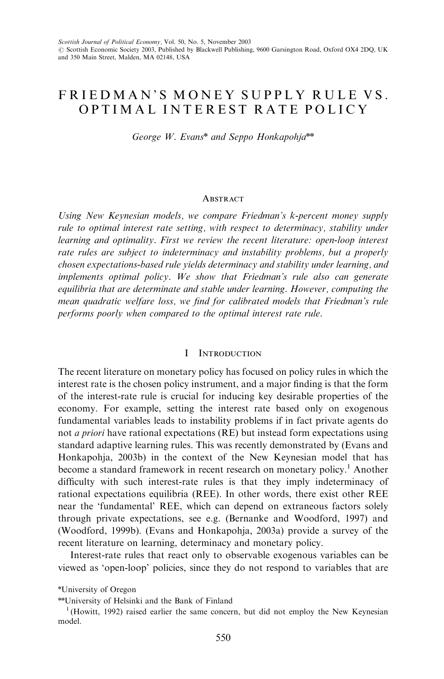# FRIEDMAN'S MONEY SUPPLY RULE VS. OPTIMAL INTEREST RATE POLICY

George W. Evans\* and Seppo Honkapohja\*\*

### **ABSTRACT**

Using New Keynesian models, we compare Friedman's k-percent money supply rule to optimal interest rate setting, with respect to determinacy, stability under learning and optimality. First we review the recent literature: open-loop interest rate rules are subject to indeterminacy and instability problems, but a properly chosen expectations-based rule yields determinacy and stability under learning, and implements optimal policy. We show that Friedman's rule also can generate equilibria that are determinate and stable under learning. However, computing the mean quadratic welfare loss, we find for calibrated models that Friedman's rule performs poorly when compared to the optimal interest rate rule.

### I Introduction

The recent literature on monetary policy has focused on policy rules in which the interest rate is the chosen policy instrument, and a major finding is that the form of the interest-rate rule is crucial for inducing key desirable properties of the economy. For example, setting the interest rate based only on exogenous fundamental variables leads to instability problems if in fact private agents do not a priori have rational expectations (RE) but instead form expectations using standard adaptive learning rules. This was recently demonstrated by (Evans and Honkapohja, 2003b) in the context of the New Keynesian model that has become a standard framework in recent research on monetary policy.<sup>1</sup> Another difficulty with such interest-rate rules is that they imply indeterminacy of rational expectations equilibria (REE). In other words, there exist other REE near the 'fundamental' REE, which can depend on extraneous factors solely through private expectations, see e.g. (Bernanke and Woodford, 1997) and (Woodford, 1999b). (Evans and Honkapohja, 2003a) provide a survey of the recent literature on learning, determinacy and monetary policy.

Interest-rate rules that react only to observable exogenous variables can be viewed as 'open-loop' policies, since they do not respond to variables that are

<sup>n</sup>University of Oregon

<sup>\*\*</sup>University of Helsinki and the Bank of Finland

 $1$ <sup>1</sup>(Howitt, 1992) raised earlier the same concern, but did not employ the New Keynesian model.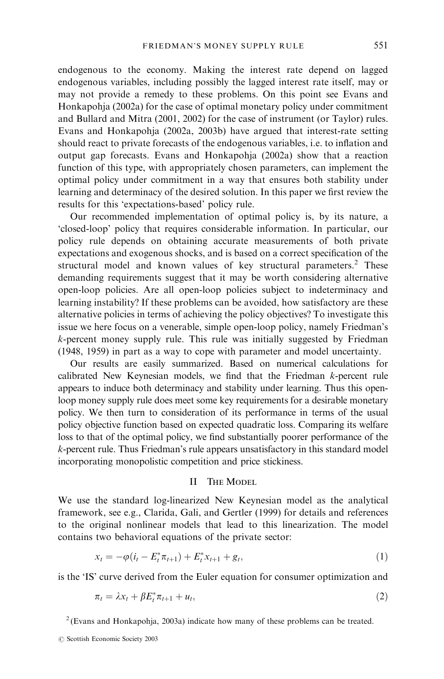endogenous to the economy. Making the interest rate depend on lagged endogenous variables, including possibly the lagged interest rate itself, may or may not provide a remedy to these problems. On this point see Evans and Honkapohja (2002a) for the case of optimal monetary policy under commitment and Bullard and Mitra (2001, 2002) for the case of instrument (or Taylor) rules. Evans and Honkapohja (2002a, 2003b) have argued that interest-rate setting should react to private forecasts of the endogenous variables, i.e. to inflation and output gap forecasts. Evans and Honkapohja (2002a) show that a reaction function of this type, with appropriately chosen parameters, can implement the optimal policy under commitment in a way that ensures both stability under learning and determinacy of the desired solution. In this paper we first review the results for this 'expectations-based' policy rule.

Our recommended implementation of optimal policy is, by its nature, a 'closed-loop' policy that requires considerable information. In particular, our policy rule depends on obtaining accurate measurements of both private expectations and exogenous shocks, and is based on a correct specification of the structural model and known values of key structural parameters.<sup>2</sup> These demanding requirements suggest that it may be worth considering alternative open-loop policies. Are all open-loop policies subject to indeterminacy and learning instability? If these problems can be avoided, how satisfactory are these alternative policies in terms of achieving the policy objectives? To investigate this issue we here focus on a venerable, simple open-loop policy, namely Friedman's k-percent money supply rule. This rule was initially suggested by Friedman (1948, 1959) in part as a way to cope with parameter and model uncertainty.

Our results are easily summarized. Based on numerical calculations for calibrated New Keynesian models, we find that the Friedman k-percent rule appears to induce both determinacy and stability under learning. Thus this openloop money supply rule does meet some key requirements for a desirable monetary policy. We then turn to consideration of its performance in terms of the usual policy objective function based on expected quadratic loss. Comparing its welfare loss to that of the optimal policy, we find substantially poorer performance of the k-percent rule. Thus Friedman's rule appears unsatisfactory in this standard model incorporating monopolistic competition and price stickiness.

# II The Model

We use the standard log-linearized New Keynesian model as the analytical framework, see e.g., Clarida, Gali, and Gertler (1999) for details and references to the original nonlinear models that lead to this linearization. The model contains two behavioral equations of the private sector:

$$
x_t = -\varphi(i_t - E_t^* \pi_{t+1}) + E_t^* x_{t+1} + g_t, \tag{1}
$$

is the 'IS' curve derived from the Euler equation for consumer optimization and

$$
\pi_t = \lambda x_t + \beta E_t^* \pi_{t+1} + u_t, \qquad (2)
$$

 $2$ (Evans and Honkapohja, 2003a) indicate how many of these problems can be treated.

 $\circ$  Scottish Economic Society 2003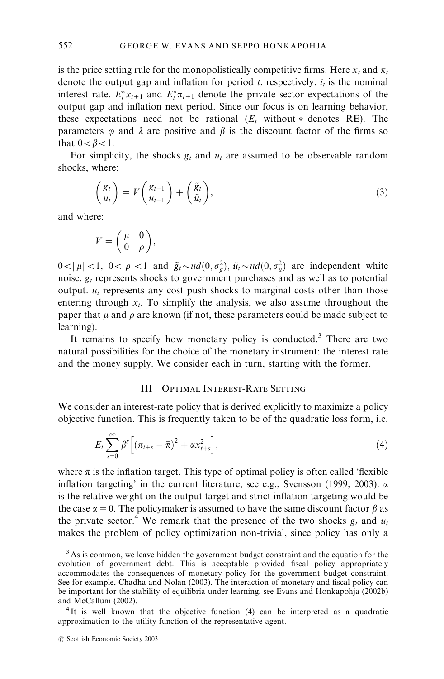is the price setting rule for the monopolistically competitive firms. Here  $x_t$  and  $\pi_t$ denote the output gap and inflation for period  $t$ , respectively.  $i_t$  is the nominal interest rate.  $E_t^* x_{t+1}$  and  $E_t^* \pi_{t+1}$  denote the private sector expectations of the output gap and inflation next period. Since our focus is on learning behavior, these expectations need not be rational  $(E_t$  without  $*$  denotes RE). The parameters  $\varphi$  and  $\lambda$  are positive and  $\beta$  is the discount factor of the firms so that  $0 < \beta < 1$ .

For simplicity, the shocks  $g_t$  and  $u_t$  are assumed to be observable random shocks, where:

$$
\begin{pmatrix} g_t \\ u_t \end{pmatrix} = V \begin{pmatrix} g_{t-1} \\ u_{t-1} \end{pmatrix} + \begin{pmatrix} \tilde{g}_t \\ \tilde{u}_t \end{pmatrix}, \tag{3}
$$

and where:

$$
V = \begin{pmatrix} \mu & 0 \\ 0 & \rho \end{pmatrix},
$$

 $0<|\mu|<1$ ,  $0<|\rho|<1$  and  $\tilde{g}_t \sim \text{iid}(0, \sigma_g^2)$ ,  $\tilde{u}_t \sim \text{iid}(0, \sigma_u^2)$  are independent white noise.  $g_t$  represents shocks to government purchases and as well as to potential output.  $u_t$  represents any cost push shocks to marginal costs other than those entering through  $x_t$ . To simplify the analysis, we also assume throughout the paper that  $\mu$  and  $\rho$  are known (if not, these parameters could be made subject to learning).

It remains to specify how monetary policy is conducted.<sup>3</sup> There are two natural possibilities for the choice of the monetary instrument: the interest rate and the money supply. We consider each in turn, starting with the former.

# III Optimal Interest-Rate Setting

We consider an interest-rate policy that is derived explicitly to maximize a policy objective function. This is frequently taken to be of the quadratic loss form, i.e.

$$
E_t \sum_{s=0}^{\infty} \beta^s \left[ \left( \pi_{t+s} - \bar{\pi} \right)^2 + \alpha x_{t+s}^2 \right], \tag{4}
$$

where  $\bar{\pi}$  is the inflation target. This type of optimal policy is often called 'flexible' inflation targeting' in the current literature, see e.g., Svensson (1999, 2003).  $\alpha$ is the relative weight on the output target and strict inflation targeting would be the case  $\alpha = 0$ . The policymaker is assumed to have the same discount factor  $\beta$  as the private sector.<sup>4</sup> We remark that the presence of the two shocks  $g_t$  and  $u_t$ makes the problem of policy optimization non-trivial, since policy has only a

<sup>&</sup>lt;sup>3</sup>As is common, we leave hidden the government budget constraint and the equation for the evolution of government debt. This is acceptable provided fiscal policy appropriately accommodates the consequences of monetary policy for the government budget constraint. See for example, Chadha and Nolan (2003). The interaction of monetary and fiscal policy can be important for the stability of equilibria under learning, see Evans and Honkapohja (2002b) and McCallum (2002).

<sup>&</sup>lt;sup>4</sup>It is well known that the objective function (4) can be interpreted as a quadratic approximation to the utility function of the representative agent.

 $\circ$  Scottish Economic Society 2003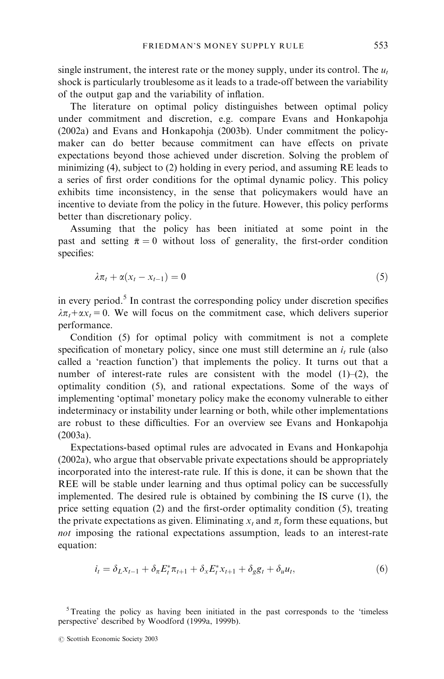single instrument, the interest rate or the money supply, under its control. The  $u_t$ shock is particularly troublesome as it leads to a trade-off between the variability of the output gap and the variability of inflation.

The literature on optimal policy distinguishes between optimal policy under commitment and discretion, e.g. compare Evans and Honkapohja (2002a) and Evans and Honkapohja (2003b). Under commitment the policymaker can do better because commitment can have effects on private expectations beyond those achieved under discretion. Solving the problem of minimizing (4), subject to (2) holding in every period, and assuming RE leads to a series of first order conditions for the optimal dynamic policy. This policy exhibits time inconsistency, in the sense that policymakers would have an incentive to deviate from the policy in the future. However, this policy performs better than discretionary policy.

Assuming that the policy has been initiated at some point in the past and setting  $\bar{\pi} = 0$  without loss of generality, the first-order condition specifies:

$$
\lambda \pi_t + \alpha (x_t - x_{t-1}) = 0 \tag{5}
$$

in every period.<sup>5</sup> In contrast the corresponding policy under discretion specifies  $\lambda \pi_t + \alpha x_t = 0$ . We will focus on the commitment case, which delivers superior performance.

Condition (5) for optimal policy with commitment is not a complete specification of monetary policy, since one must still determine an  $i_t$  rule (also called a 'reaction function') that implements the policy. It turns out that a number of interest-rate rules are consistent with the model  $(1)$ – $(2)$ , the optimality condition (5), and rational expectations. Some of the ways of implementing 'optimal' monetary policy make the economy vulnerable to either indeterminacy or instability under learning or both, while other implementations are robust to these difficulties. For an overview see Evans and Honkapohja (2003a).

Expectations-based optimal rules are advocated in Evans and Honkapohja (2002a), who argue that observable private expectations should be appropriately incorporated into the interest-rate rule. If this is done, it can be shown that the REE will be stable under learning and thus optimal policy can be successfully implemented. The desired rule is obtained by combining the IS curve (1), the price setting equation (2) and the first-order optimality condition (5), treating the private expectations as given. Eliminating  $x_t$  and  $\pi_t$  form these equations, but not imposing the rational expectations assumption, leads to an interest-rate equation:

$$
i_{t} = \delta_{L}x_{t-1} + \delta_{\pi}E_{t}^{*}\pi_{t+1} + \delta_{x}E_{t}^{*}x_{t+1} + \delta_{g}g_{t} + \delta_{u}u_{t},
$$
\n(6)

<sup>5</sup>Treating the policy as having been initiated in the past corresponds to the 'timeless perspective' described by Woodford (1999a, 1999b).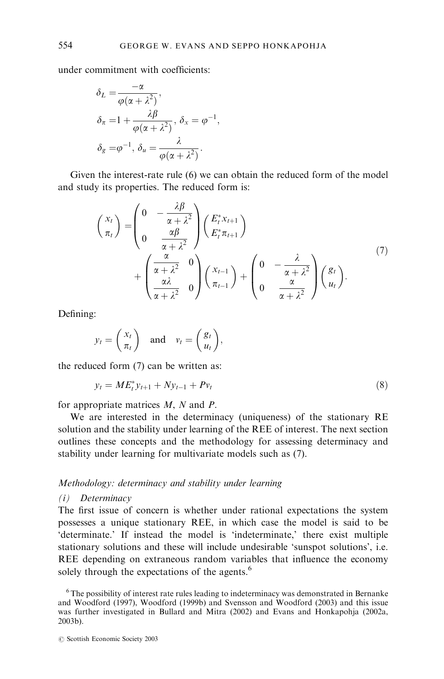under commitment with coefficients:

$$
\delta_L = \frac{-\alpha}{\varphi(\alpha + \lambda^2)},
$$
  
\n
$$
\delta_{\pi} = 1 + \frac{\lambda \beta}{\varphi(\alpha + \lambda^2)}, \delta_{\pi} = \varphi^{-1},
$$
  
\n
$$
\delta_g = \varphi^{-1}, \delta_u = \frac{\lambda}{\varphi(\alpha + \lambda^2)}.
$$

Given the interest-rate rule (6) we can obtain the reduced form of the model and study its properties. The reduced form is:

$$
\begin{pmatrix} x_t \\ \pi_t \end{pmatrix} = \begin{pmatrix} 0 & -\frac{\lambda \beta}{\alpha + \lambda^2} \\ 0 & \frac{\alpha \beta}{\alpha + \lambda^2} \end{pmatrix} \begin{pmatrix} E_t^* x_{t+1} \\ E_t^* \pi_{t+1} \end{pmatrix} + \begin{pmatrix} \frac{\alpha}{\alpha + \lambda^2} & 0 \\ \frac{\alpha \lambda}{\alpha + \lambda^2} & 0 \end{pmatrix} \begin{pmatrix} x_{t-1} \\ \pi_{t-1} \end{pmatrix} + \begin{pmatrix} 0 & -\frac{\lambda}{\alpha + \lambda^2} \\ 0 & \frac{\alpha}{\alpha + \lambda^2} \end{pmatrix} \begin{pmatrix} g_t \\ u_t \end{pmatrix}.
$$
\n(7)

Defining:

$$
y_t = \begin{pmatrix} x_t \\ \pi_t \end{pmatrix}
$$
 and  $v_t = \begin{pmatrix} g_t \\ u_t \end{pmatrix}$ ,

the reduced form (7) can be written as:

$$
y_t = ME_t^* y_{t+1} + N y_{t-1} + P v_t \tag{8}
$$

for appropriate matrices M, N and P.

We are interested in the determinacy (uniqueness) of the stationary RE solution and the stability under learning of the REE of interest. The next section outlines these concepts and the methodology for assessing determinacy and stability under learning for multivariate models such as (7).

# Methodology: determinacy and stability under learning

# (i) Determinacy

The first issue of concern is whether under rational expectations the system possesses a unique stationary REE, in which case the model is said to be 'determinate.' If instead the model is 'indeterminate,' there exist multiple stationary solutions and these will include undesirable 'sunspot solutions', i.e. REE depending on extraneous random variables that influence the economy solely through the expectations of the agents.<sup>6</sup>

<sup>&</sup>lt;sup>6</sup>The possibility of interest rate rules leading to indeterminacy was demonstrated in Bernanke and Woodford (1997), Woodford (1999b) and Svensson and Woodford (2003) and this issue was further investigated in Bullard and Mitra (2002) and Evans and Honkapohja (2002a, 2003b).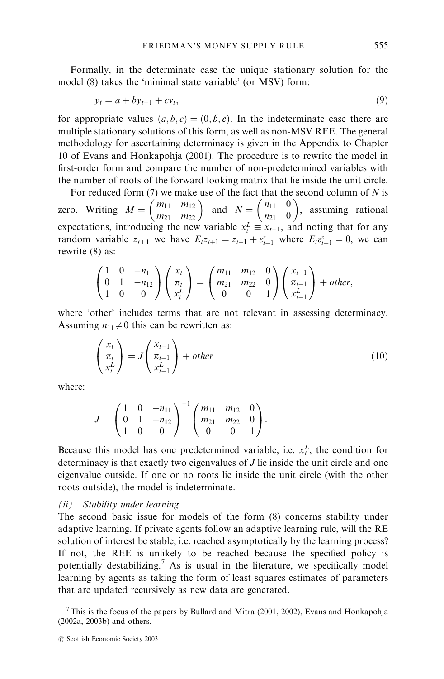Formally, in the determinate case the unique stationary solution for the model (8) takes the 'minimal state variable' (or MSV) form:

$$
y_t = a + by_{t-1} + cv_t,
$$
\n(9)

for appropriate values  $(a, b, c) = (0, \overline{b}, \overline{c})$ . In the indeterminate case there are multiple stationary solutions of this form, as well as non-MSV REE. The general methodology for ascertaining determinacy is given in the Appendix to Chapter 10 of Evans and Honkapohja (2001). The procedure is to rewrite the model in first-order form and compare the number of non-predetermined variables with the number of roots of the forward looking matrix that lie inside the unit circle.

For reduced form  $(7)$  we make use of the fact that the second column of N is zero. Writing  $M = \begin{pmatrix} m_{11} & m_{12} \\ m_{21} & m_{22} \end{pmatrix}$  and  $N = \begin{pmatrix} n_{11} & 0 \\ n_{21} & 0 \end{pmatrix}$  $\begin{pmatrix} 1 & 0 \\ 0 & 1 \end{pmatrix}$ , assuming rational expectations, introducing the new variable  $x_t^L \equiv x_{t-1}$ , and noting that for any random variable  $z_{t+1}$  we have  $E_t z_{t+1} = z_{t+1} + \varepsilon_{t+1}^z$  where  $E_t \varepsilon_{t+1}^z = 0$ , we can rewrite (8) as:

$$
\begin{pmatrix} 1 & 0 & -n_{11} \\ 0 & 1 & -n_{12} \\ 1 & 0 & 0 \end{pmatrix} \begin{pmatrix} x_t \\ \pi_t \\ x_t^L \end{pmatrix} = \begin{pmatrix} m_{11} & m_{12} & 0 \\ m_{21} & m_{22} & 0 \\ 0 & 0 & 1 \end{pmatrix} \begin{pmatrix} x_{t+1} \\ \pi_{t+1} \\ x_{t+1}^L \end{pmatrix} + other,
$$

where 'other' includes terms that are not relevant in assessing determinacy. Assuming  $n_{11} \neq 0$  this can be rewritten as:

$$
\begin{pmatrix} x_t \\ \pi_t \\ x_t^L \end{pmatrix} = J \begin{pmatrix} x_{t+1} \\ \pi_{t+1} \\ x_{t+1}^L \end{pmatrix} + other
$$
 (10)

where:

$$
J = \begin{pmatrix} 1 & 0 & -n_{11} \\ 0 & 1 & -n_{12} \\ 1 & 0 & 0 \end{pmatrix}^{-1} \begin{pmatrix} m_{11} & m_{12} & 0 \\ m_{21} & m_{22} & 0 \\ 0 & 0 & 1 \end{pmatrix}.
$$

Because this model has one predetermined variable, i.e.  $x_t^L$ , the condition for determinacy is that exactly two eigenvalues of  $J$  lie inside the unit circle and one eigenvalue outside. If one or no roots lie inside the unit circle (with the other roots outside), the model is indeterminate.

### (ii) Stability under learning

The second basic issue for models of the form (8) concerns stability under adaptive learning. If private agents follow an adaptive learning rule, will the RE solution of interest be stable, i.e. reached asymptotically by the learning process? If not, the REE is unlikely to be reached because the specified policy is potentially destabilizing.<sup>7</sup> As is usual in the literature, we specifically model learning by agents as taking the form of least squares estimates of parameters that are updated recursively as new data are generated.

 $7$ This is the focus of the papers by Bullard and Mitra (2001, 2002), Evans and Honkapohja (2002a, 2003b) and others.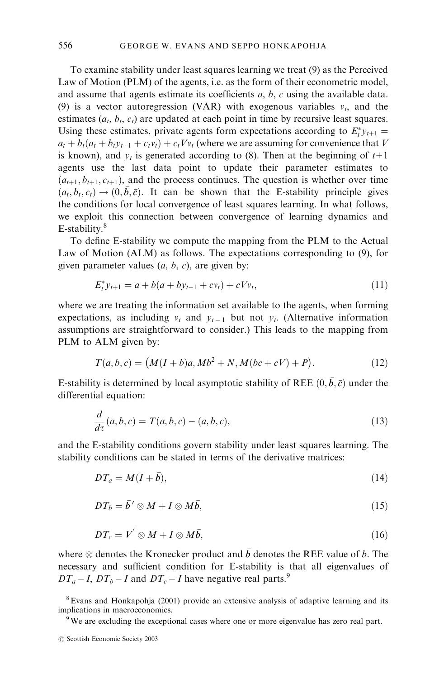To examine stability under least squares learning we treat (9) as the Perceived Law of Motion (PLM) of the agents, i.e. as the form of their econometric model, and assume that agents estimate its coefficients  $a, b, c$  using the available data. (9) is a vector autoregression (VAR) with exogenous variables  $v_t$ , and the estimates  $(a_t, b_t, c_t)$  are updated at each point in time by recursive least squares. Using these estimates, private agents form expectations according to  $E_t^* y_{t+1} =$  $a_t + b_t(a_t + b_t y_{t-1} + c_t v_t) + c_t V v_t$  (where we are assuming for convenience that V is known), and  $y_t$  is generated according to (8). Then at the beginning of  $t+1$ agents use the last data point to update their parameter estimates to  $(a_{t+1}, b_{t+1}, c_{t+1})$ , and the process continues. The question is whether over time  $(a_t, b_t, c_t) \rightarrow (0, \bar{b}, \bar{c})$ . It can be shown that the E-stability principle gives the conditions for local convergence of least squares learning. In what follows, we exploit this connection between convergence of learning dynamics and  $E$ -stability. $8$ 

To define E-stability we compute the mapping from the PLM to the Actual Law of Motion (ALM) as follows. The expectations corresponding to (9), for given parameter values  $(a, b, c)$ , are given by:

$$
E_t^* y_{t+1} = a + b(a + by_{t-1} + cv_t) + cV v_t,
$$
\n(11)

where we are treating the information set available to the agents, when forming expectations, as including  $v_t$  and  $y_{t-1}$  but not  $y_t$ . (Alternative information assumptions are straightforward to consider.) This leads to the mapping from PLM to ALM given by:

$$
T(a, b, c) = (M(I + b)a, Mb2 + N, M(bc + cV) + P).
$$
\n(12)

E-stability is determined by local asymptotic stability of REE  $(0, \overline{b}, \overline{c})$  under the differential equation:

$$
\frac{d}{d\tau}(a,b,c) = T(a,b,c) - (a,b,c),
$$
\n(13)

and the E-stability conditions govern stability under least squares learning. The stability conditions can be stated in terms of the derivative matrices:

$$
DT_a = M(I + \bar{b}),\tag{14}
$$

$$
DT_b = \bar{b}' \otimes M + I \otimes M\bar{b},\tag{15}
$$

$$
DT_c = V' \otimes M + I \otimes M\bar{b},\tag{16}
$$

where  $\otimes$  denotes the Kronecker product and b denotes the REE value of b. The necessary and sufficient condition for E-stability is that all eigenvalues of  $DT_a - I$ ,  $DT_b - I$  and  $DT_c - I$  have negative real parts.<sup>9</sup>

<sup>8</sup>Evans and Honkapohja (2001) provide an extensive analysis of adaptive learning and its implications in macroeconomics.

<sup>&</sup>lt;sup>9</sup>We are excluding the exceptional cases where one or more eigenvalue has zero real part.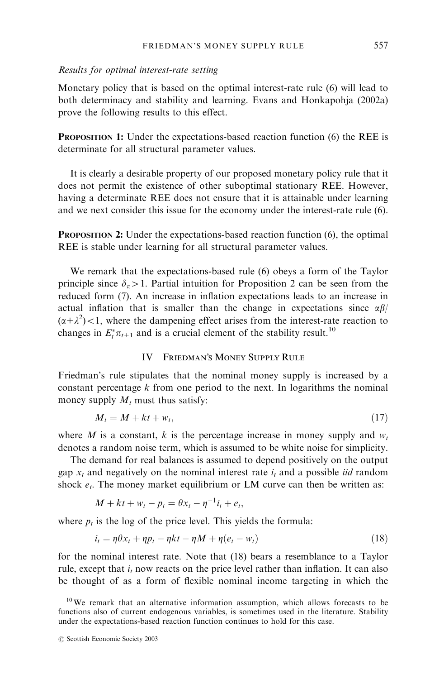### Results for optimal interest-rate setting

Monetary policy that is based on the optimal interest-rate rule (6) will lead to both determinacy and stability and learning. Evans and Honkapohja (2002a) prove the following results to this effect.

PROPOSITION 1: Under the expectations-based reaction function (6) the REE is determinate for all structural parameter values.

It is clearly a desirable property of our proposed monetary policy rule that it does not permit the existence of other suboptimal stationary REE. However, having a determinate REE does not ensure that it is attainable under learning and we next consider this issue for the economy under the interest-rate rule (6).

PROPOSITION 2: Under the expectations-based reaction function (6), the optimal REE is stable under learning for all structural parameter values.

We remark that the expectations-based rule (6) obeys a form of the Taylor principle since  $\delta_{\pi} > 1$ . Partial intuition for Proposition 2 can be seen from the reduced form (7). An increase in inflation expectations leads to an increase in actual inflation that is smaller than the change in expectations since  $\alpha\beta$  $(\alpha + \lambda^2)$  < 1, where the dampening effect arises from the interest-rate reaction to changes in  $E_t^* \pi_{t+1}$  and is a crucial element of the stability result.<sup>10</sup>

# IV Friedman's Money Supply Rule

Friedman's rule stipulates that the nominal money supply is increased by a constant percentage  $k$  from one period to the next. In logarithms the nominal money supply  $M_t$  must thus satisfy:

$$
M_t = M + kt + w_t, \tag{17}
$$

where M is a constant, k is the percentage increase in money supply and  $w_t$ denotes a random noise term, which is assumed to be white noise for simplicity.

The demand for real balances is assumed to depend positively on the output gap  $x_t$  and negatively on the nominal interest rate  $i_t$  and a possible *iid* random shock  $e_t$ . The money market equilibrium or LM curve can then be written as:

$$
M+kt+w_t-p_t=\theta x_t-\eta^{-1}i_t+e_t,
$$

where  $p_t$  is the log of the price level. This yields the formula:

$$
i_t = \eta \theta x_t + \eta p_t - \eta kt - \eta M + \eta (e_t - w_t)
$$
\n(18)

for the nominal interest rate. Note that (18) bears a resemblance to a Taylor rule, except that  $i_t$  now reacts on the price level rather than inflation. It can also be thought of as a form of flexible nominal income targeting in which the

 $\circ$  Scottish Economic Society 2003

 $10$  We remark that an alternative information assumption, which allows forecasts to be functions also of current endogenous variables, is sometimes used in the literature. Stability under the expectations-based reaction function continues to hold for this case.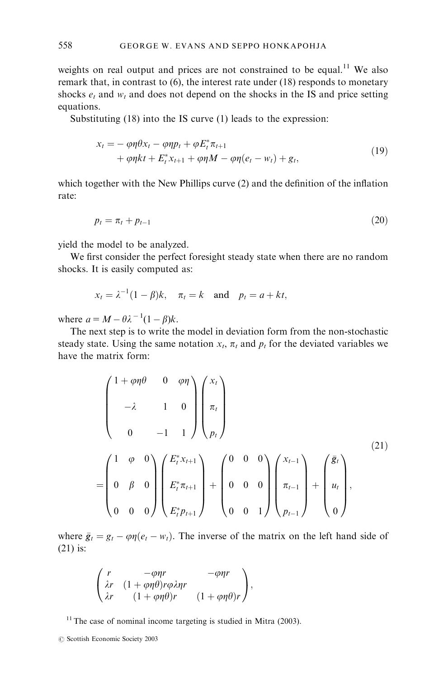weights on real output and prices are not constrained to be equal.<sup>11</sup> We also remark that, in contrast to (6), the interest rate under (18) responds to monetary shocks  $e_t$  and  $w_t$  and does not depend on the shocks in the IS and price setting equations.

Substituting (18) into the IS curve (1) leads to the expression:

$$
x_t = -\varphi\eta\theta x_t - \varphi\eta p_t + \varphi E_t^* \pi_{t+1}
$$
  
+  $\varphi\eta kt + E_t^* x_{t+1} + \varphi\eta M - \varphi\eta (e_t - w_t) + g_t,$  (19)

which together with the New Phillips curve (2) and the definition of the inflation rate:

$$
p_t = \pi_t + p_{t-1} \tag{20}
$$

yield the model to be analyzed.

We first consider the perfect foresight steady state when there are no random shocks. It is easily computed as:

$$
x_t = \lambda^{-1}(1-\beta)k, \quad \pi_t = k \quad \text{and} \quad p_t = a + kt,
$$

where  $a = M - \theta \lambda^{-1} (1 - \beta) k$ .

The next step is to write the model in deviation form from the non-stochastic steady state. Using the same notation  $x_t$ ,  $\pi_t$  and  $p_t$  for the deviated variables we have the matrix form:

$$
\begin{pmatrix}\n1 + \varphi \eta \theta & 0 & \varphi \eta \\
-\lambda & 1 & 0 \\
0 & -1 & 1\n\end{pmatrix}\n\begin{pmatrix}\nx_t \\
\pi_t \\
p_t\n\end{pmatrix}
$$
\n
$$
= \begin{pmatrix}\n1 & \varphi & 0 \\
0 & \beta & 0 \\
0 & 0 & 0\n\end{pmatrix}\n\begin{pmatrix}\nE_t^* x_{t+1} \\
E_t^* \pi_{t+1} \\
E_t^* p_{t+1}\n\end{pmatrix} + \begin{pmatrix}\n0 & 0 & 0 \\
0 & 0 & 0 \\
0 & 0 & 1\n\end{pmatrix}\n\begin{pmatrix}\nx_{t-1} \\
\pi_{t-1} \\
p_{t-1}\n\end{pmatrix} + \begin{pmatrix}\n\bar{g}_t \\
u_t \\
u_t \\
0\n\end{pmatrix},
$$
\n(21)

where  $\bar{g}_t = g_t - \varphi \eta (e_t - w_t)$ . The inverse of the matrix on the left hand side of (21) is:

$$
\begin{pmatrix} r & -\varphi\eta r & -\varphi\eta r \\ \lambda r & (1+\varphi\eta\theta)r\varphi\lambda\eta r \\ \lambda r & (1+\varphi\eta\theta)r & (1+\varphi\eta\theta)r \end{pmatrix},
$$

 $11$ <sup>11</sup> The case of nominal income targeting is studied in Mitra (2003).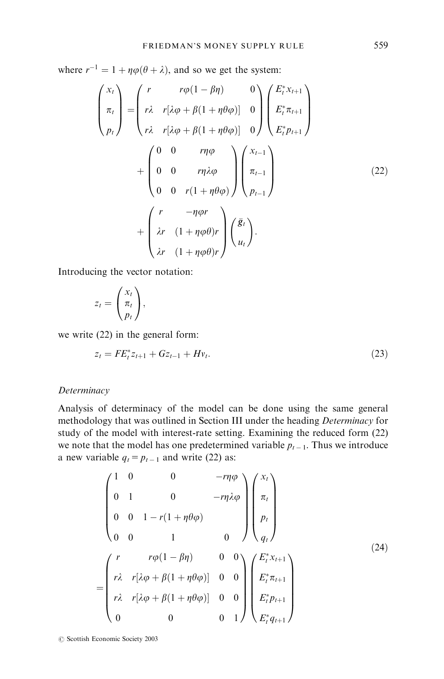where  $r^{-1} = 1 + \eta \varphi(\theta + \lambda)$ , and so we get the system:

$$
\begin{pmatrix}\n x_t \\
 \pi_t \\
 p_t\n\end{pmatrix} = \begin{pmatrix}\n r & r\varphi(1 - \beta\eta) & 0 \\
 r\lambda & r[\lambda\varphi + \beta(1 + \eta\theta\varphi)] & 0 \\
 r\lambda & r[\lambda\varphi + \beta(1 + \eta\theta\varphi)] & 0\n\end{pmatrix} \begin{pmatrix}\n E_t^* x_{t+1} \\
 E_t^* \pi_{t+1} \\
 E_t^* p_{t+1}\n\end{pmatrix} + \begin{pmatrix}\n 0 & 0 & r\eta\varphi \\
 0 & 0 & r\eta\lambda\varphi \\
 0 & 0 & r(1 + \eta\theta\varphi)\n\end{pmatrix} \begin{pmatrix}\n x_{t-1} \\
 \pi_{t-1} \\
 p_{t-1}\n\end{pmatrix}
$$
\n
$$
+ \begin{pmatrix}\n r & -\eta\varphi r \\
 \lambda r & (1 + \eta\varphi\theta)r \\
 \lambda r & (1 + \eta\varphi\theta)r\n\end{pmatrix} \begin{pmatrix}\n \bar{g}_t \\
 u_t\n\end{pmatrix}.
$$
\n(22)

Introducing the vector notation:

$$
z_t = \begin{pmatrix} x_t \\ \pi_t \\ p_t \end{pmatrix},
$$

we write (22) in the general form:

$$
z_t = FE_t^* z_{t+1} + G z_{t-1} + Hv_t.
$$
\n(23)

# **Determinacy**

Analysis of determinacy of the model can be done using the same general methodology that was outlined in Section III under the heading Determinacy for study of the model with interest-rate setting. Examining the reduced form (22) we note that the model has one predetermined variable  $p_{t-1}$ . Thus we introduce a new variable  $q_t = p_{t-1}$  and write (22) as:

$$
\begin{pmatrix}\n1 & 0 & 0 & -r\eta\varphi \\
0 & 1 & 0 & -r\eta\lambda\varphi \\
0 & 0 & 1 - r(1 + \eta\theta\varphi) \\
0 & 0 & 1 & 0\n\end{pmatrix}\n\begin{pmatrix}\nx_t \\
\pi_t \\
p_t \\
q_t\n\end{pmatrix}
$$
\n
$$
= \begin{pmatrix}\nr & r\varphi(1 - \beta\eta) & 0 & 0 \\
r\lambda & r[\lambda\varphi + \beta(1 + \eta\theta\varphi)] & 0 & 0 \\
r\lambda & r[\lambda\varphi + \beta(1 + \eta\theta\varphi)] & 0 & 0 \\
0 & 0 & 0 & 1\n\end{pmatrix}\n\begin{pmatrix}\nE_t^* x_{t+1} \\
E_t^* \pi_{t+1} \\
E_t^* \varphi_{t+1} \\
E_t^* \varphi_{t+1}\n\end{pmatrix}
$$
\n(24)

 $\odot$  Scottish Economic Society 2003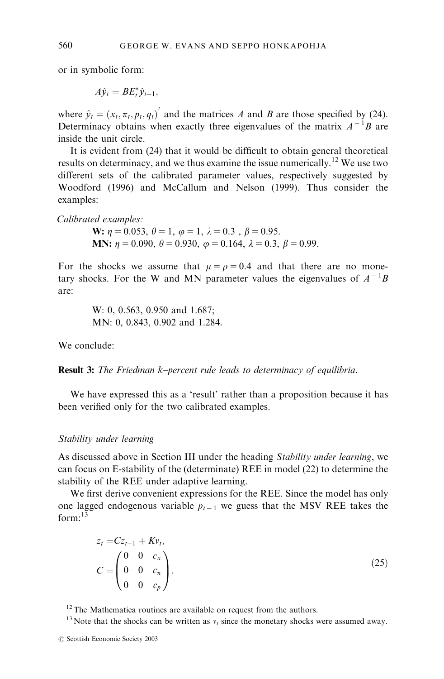or in symbolic form:

$$
A\hat{y}_t = BE_t^* \hat{y}_{t+1},
$$

where  $\hat{y}_t = (x_t, \pi_t, p_t, q_t)$ <sup>'</sup> and the matrices A and B are those specified by (24). Determinacy obtains when exactly three eigenvalues of the matrix  $A^{-1}B$  are inside the unit circle.

It is evident from (24) that it would be difficult to obtain general theoretical results on determinacy, and we thus examine the issue numerically.<sup>12</sup> We use two different sets of the calibrated parameter values, respectively suggested by Woodford (1996) and McCallum and Nelson (1999). Thus consider the examples:

Calibrated examples:

W:  $\eta = 0.053, \theta = 1, \varphi = 1, \lambda = 0.3, \beta = 0.95.$ MN:  $\eta = 0.090, \theta = 0.930, \varphi = 0.164, \lambda = 0.3, \beta = 0.99.$ 

For the shocks we assume that  $\mu = \rho = 0.4$  and that there are no monetary shocks. For the W and MN parameter values the eigenvalues of  $A^{-1}B$ are:

> W: 0, 0.563, 0.950 and 1.687; MN: 0, 0.843, 0.902 and 1.284.

We conclude:

Result 3: The Friedman k-percent rule leads to determinacy of equilibria.

We have expressed this as a 'result' rather than a proposition because it has been verified only for the two calibrated examples.

#### Stability under learning

As discussed above in Section III under the heading Stability under learning, we can focus on E-stability of the (determinate) REE in model (22) to determine the stability of the REE under adaptive learning.

We first derive convenient expressions for the REE. Since the model has only one lagged endogenous variable  $p_{t-1}$  we guess that the MSV REE takes the  $form: <sup>13</sup>$ 

$$
z_t = Cz_{t-1} + Kv_t,
$$
  
\n
$$
C = \begin{pmatrix} 0 & 0 & c_x \\ 0 & 0 & c_{\pi} \\ 0 & 0 & c_p \end{pmatrix}.
$$
\n(25)

<sup>12</sup>The Mathematica routines are available on request from the authors.

<sup>13</sup> Note that the shocks can be written as  $v_t$  since the monetary shocks were assumed away.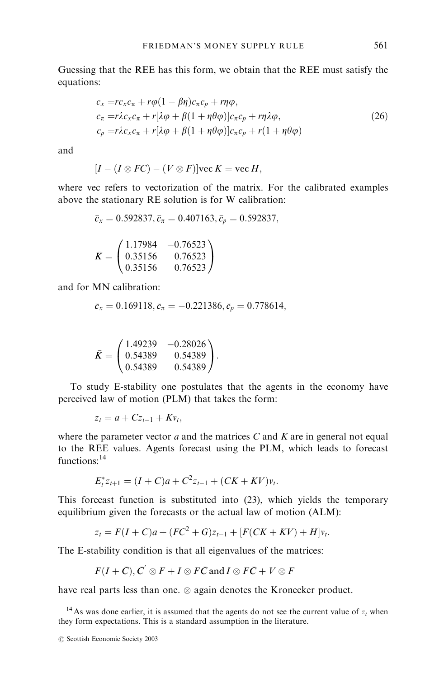Guessing that the REE has this form, we obtain that the REE must satisfy the equations:

$$
c_x = rc_x c_\pi + r\varphi (1 - \beta \eta) c_\pi c_p + r\eta \varphi,
$$
  
\n
$$
c_\pi = r\lambda c_x c_\pi + r[\lambda \varphi + \beta (1 + \eta \theta \varphi)] c_\pi c_p + r\eta \lambda \varphi,
$$
  
\n
$$
c_p = r\lambda c_x c_\pi + r[\lambda \varphi + \beta (1 + \eta \theta \varphi)] c_\pi c_p + r(1 + \eta \theta \varphi)
$$
\n(26)

and

$$
[I-(I\otimes FC)-(V\otimes F)]\text{vec }K=\text{vec }H,
$$

where vec refers to vectorization of the matrix. For the calibrated examples above the stationary RE solution is for W calibration:

$$
\bar{c}_x = 0.592837, \bar{c}_\pi = 0.407163, \bar{c}_p = 0.592837,
$$
\n
$$
\bar{K} = \begin{pmatrix} 1.17984 & -0.76523 \\ 0.35156 & 0.76523 \\ 0.35156 & 0.76523 \end{pmatrix}
$$

and for MN calibration:

$$
\bar{c}_x = 0.169118, \bar{c}_\pi = -0.221386, \bar{c}_p = 0.778614,
$$

$$
\bar{K} = \begin{pmatrix} 1.49239 & -0.28026 \\ 0.54389 & 0.54389 \\ 0.54389 & 0.54389 \end{pmatrix}.
$$

To study E-stability one postulates that the agents in the economy have perceived law of motion (PLM) that takes the form:

$$
z_t = a + Cz_{t-1} + Kv_t,
$$

where the parameter vector a and the matrices C and K are in general not equal to the REE values. Agents forecast using the PLM, which leads to forecast functions:<sup>14</sup>

$$
E_t^* z_{t+1} = (I + C)a + C^2 z_{t-1} + (CK + KV)v_t.
$$

This forecast function is substituted into (23), which yields the temporary equilibrium given the forecasts or the actual law of motion (ALM):

$$
z_t = F(I + C)a + (FC^2 + G)z_{t-1} + [F(CK + KV) + H]v_t.
$$

The E-stability condition is that all eigenvalues of the matrices:

$$
F(I+\bar{C}), \bar{C}' \otimes F + I \otimes F\bar{C} \text{ and } I \otimes F\bar{C} + V \otimes F
$$

have real parts less than one.  $\otimes$  again denotes the Kronecker product.

<sup>14</sup>As was done earlier, it is assumed that the agents do not see the current value of  $z_t$  when they form expectations. This is a standard assumption in the literature.

 $\circ$  Scottish Economic Society 2003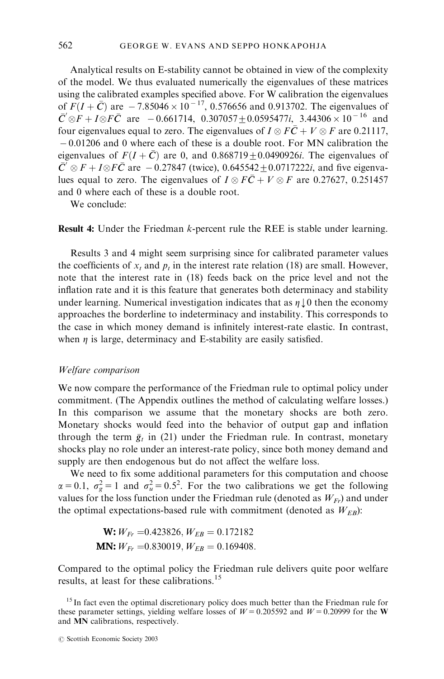Analytical results on E-stability cannot be obtained in view of the complexity of the model. We thus evaluated numerically the eigenvalues of these matrices using the calibrated examples specified above. For W calibration the eigenvalues of  $F(I + \bar{C})$  are  $-7.85046 \times 10^{-17}$ , 0.576656 and 0.913702. The eigenvalues of  $\bar{C}' \otimes F + I \otimes F\bar{C}$  are  $-0.661714$ ,  $0.307057 \pm 0.0595477i$ ,  $3.44306 \times 10^{-16}$  and four eigenvalues equal to zero. The eigenvalues of  $I \otimes F\bar{C} + V \otimes F$  are 0.21117,  $-0.01206$  and 0 where each of these is a double root. For MN calibration the eigenvalues of  $F(I + \bar{C})$  are 0, and 0.868719+0.0490926i. The eigenvalues of  $\bar{C}' \otimes F + I \otimes F\bar{C}$  are  $-0.27847$  (twice), 0.645542 + 0.0717222*i*, and five eigenvalues equal to zero. The eigenvalues of  $I \otimes F\overline{C} + V \otimes F$  are 0.27627, 0.251457 and 0 where each of these is a double root.

We conclude:

Result 4: Under the Friedman k-percent rule the REE is stable under learning.

Results 3 and 4 might seem surprising since for calibrated parameter values the coefficients of  $x_t$  and  $p_t$  in the interest rate relation (18) are small. However, note that the interest rate in (18) feeds back on the price level and not the inflation rate and it is this feature that generates both determinacy and stability under learning. Numerical investigation indicates that as  $\eta \downarrow 0$  then the economy approaches the borderline to indeterminacy and instability. This corresponds to the case in which money demand is infinitely interest-rate elastic. In contrast, when  $\eta$  is large, determinacy and E-stability are easily satisfied.

### Welfare comparison

We now compare the performance of the Friedman rule to optimal policy under commitment. (The Appendix outlines the method of calculating welfare losses.) In this comparison we assume that the monetary shocks are both zero. Monetary shocks would feed into the behavior of output gap and inflation through the term  $\bar{g}_t$  in (21) under the Friedman rule. In contrast, monetary shocks play no role under an interest-rate policy, since both money demand and supply are then endogenous but do not affect the welfare loss.

We need to fix some additional parameters for this computation and choose  $\alpha = 0.1$ ,  $\sigma_g^2 = 1$  and  $\sigma_u^2 = 0.5^2$ . For the two calibrations we get the following values for the loss function under the Friedman rule (denoted as  $W_{Fr}$ ) and under the optimal expectations-based rule with commitment (denoted as  $W_{EB}$ ):

**W:** 
$$
W_{Fr} = 0.423826
$$
,  $W_{EB} = 0.172182$   
**MN:**  $W_{Fr} = 0.830019$ ,  $W_{EB} = 0.169408$ .

Compared to the optimal policy the Friedman rule delivers quite poor welfare results, at least for these calibrations.<sup>15</sup>

 $<sup>15</sup>$  In fact even the optimal discretionary policy does much better than the Friedman rule for</sup> these parameter settings, yielding welfare losses of  $W = 0.205592$  and  $W = 0.20999$  for the W and MN calibrations, respectively.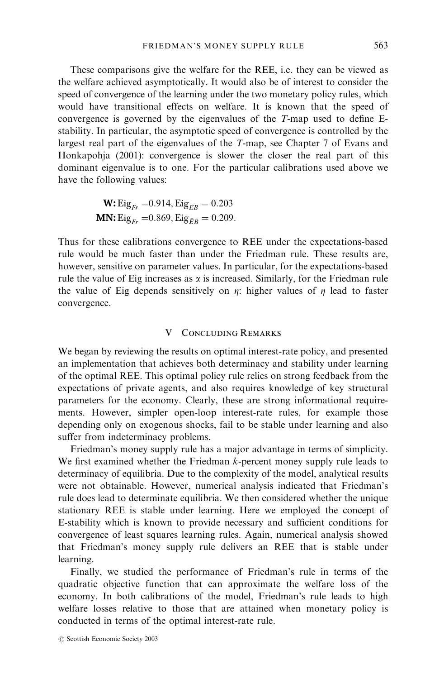These comparisons give the welfare for the REE, i.e. they can be viewed as the welfare achieved asymptotically. It would also be of interest to consider the speed of convergence of the learning under the two monetary policy rules, which would have transitional effects on welfare. It is known that the speed of convergence is governed by the eigenvalues of the T-map used to define Estability. In particular, the asymptotic speed of convergence is controlled by the largest real part of the eigenvalues of the T-map, see Chapter 7 of Evans and Honkapohja (2001): convergence is slower the closer the real part of this dominant eigenvalue is to one. For the particular calibrations used above we have the following values:

W: EigFr ¼0:914; EigEB ¼ 0:203 MN: EigFr ¼0:869; EigEB ¼ 0:209:

Thus for these calibrations convergence to REE under the expectations-based rule would be much faster than under the Friedman rule. These results are, however, sensitive on parameter values. In particular, for the expectations-based rule the value of Eig increases as  $\alpha$  is increased. Similarly, for the Friedman rule the value of Eig depends sensitively on  $\eta$ : higher values of  $\eta$  lead to faster convergence.

# V Concluding Remarks

We began by reviewing the results on optimal interest-rate policy, and presented an implementation that achieves both determinacy and stability under learning of the optimal REE. This optimal policy rule relies on strong feedback from the expectations of private agents, and also requires knowledge of key structural parameters for the economy. Clearly, these are strong informational requirements. However, simpler open-loop interest-rate rules, for example those depending only on exogenous shocks, fail to be stable under learning and also suffer from indeterminacy problems.

Friedman's money supply rule has a major advantage in terms of simplicity. We first examined whether the Friedman  $k$ -percent money supply rule leads to determinacy of equilibria. Due to the complexity of the model, analytical results were not obtainable. However, numerical analysis indicated that Friedman's rule does lead to determinate equilibria. We then considered whether the unique stationary REE is stable under learning. Here we employed the concept of E-stability which is known to provide necessary and sufficient conditions for convergence of least squares learning rules. Again, numerical analysis showed that Friedman's money supply rule delivers an REE that is stable under learning.

Finally, we studied the performance of Friedman's rule in terms of the quadratic objective function that can approximate the welfare loss of the economy. In both calibrations of the model, Friedman's rule leads to high welfare losses relative to those that are attained when monetary policy is conducted in terms of the optimal interest-rate rule.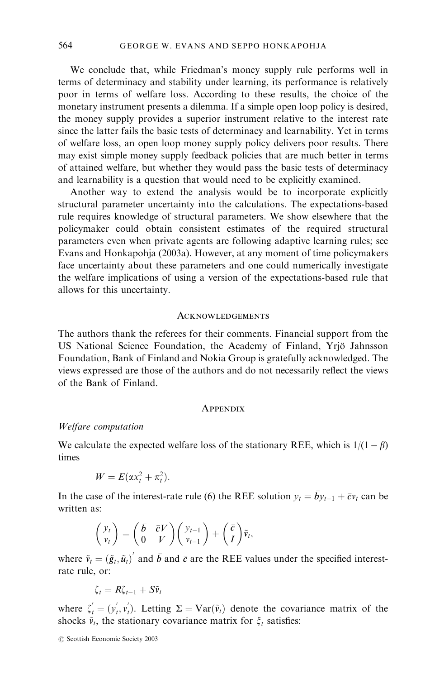We conclude that, while Friedman's money supply rule performs well in terms of determinacy and stability under learning, its performance is relatively poor in terms of welfare loss. According to these results, the choice of the monetary instrument presents a dilemma. If a simple open loop policy is desired, the money supply provides a superior instrument relative to the interest rate since the latter fails the basic tests of determinacy and learnability. Yet in terms of welfare loss, an open loop money supply policy delivers poor results. There may exist simple money supply feedback policies that are much better in terms of attained welfare, but whether they would pass the basic tests of determinacy and learnability is a question that would need to be explicitly examined.

Another way to extend the analysis would be to incorporate explicitly structural parameter uncertainty into the calculations. The expectations-based rule requires knowledge of structural parameters. We show elsewhere that the policymaker could obtain consistent estimates of the required structural parameters even when private agents are following adaptive learning rules; see Evans and Honkapohja (2003a). However, at any moment of time policymakers face uncertainty about these parameters and one could numerically investigate the welfare implications of using a version of the expectations-based rule that allows for this uncertainty.

# **ACKNOWLEDGEMENTS**

The authors thank the referees for their comments. Financial support from the US National Science Foundation, the Academy of Finland, Yrjo¨ Jahnsson Foundation, Bank of Finland and Nokia Group is gratefully acknowledged. The views expressed are those of the authors and do not necessarily reflect the views of the Bank of Finland.

#### **APPENDIX**

## Welfare computation

We calculate the expected welfare loss of the stationary REE, which is  $1/(1 - \beta)$ times

$$
W=E(\alpha x_t^2+\pi_t^2).
$$

In the case of the interest-rate rule (6) the REE solution  $y_t = \overline{b}y_{t-1} + \overline{c}y_t$  can be written as:

$$
\begin{pmatrix} y_t \\ v_t \end{pmatrix} = \begin{pmatrix} \bar{b} & \bar{c}V \\ 0 & V \end{pmatrix} \begin{pmatrix} y_{t-1} \\ y_{t-1} \end{pmatrix} + \begin{pmatrix} \bar{c} \\ I \end{pmatrix} \tilde{v}_t,
$$

where  $\tilde{v}_t = (\tilde{g}_t, \tilde{u}_t)'$  and  $\bar{b}$  and  $\bar{c}$  are the REE values under the specified interestrate rule, or:

$$
\zeta_t = R\zeta_{t-1} + S\tilde{v}_t
$$

where  $\zeta'_t = (y'_t, v'_t)$ . Letting  $\Sigma = \text{Var}(\tilde{v}_t)$  denote the covariance matrix of the shocks  $\tilde{v}_t$ , the stationary covariance matrix for  $\xi_t$  satisfies: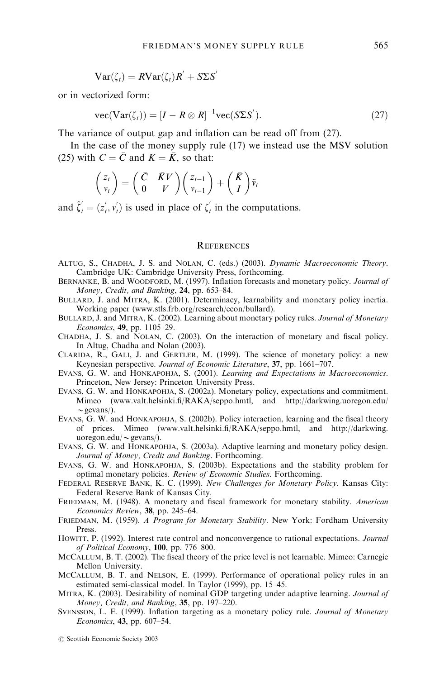$$
Var(\zeta_t) = RVar(\zeta_t)R^{'} + S\Sigma S^{'}
$$

or in vectorized form:

$$
\text{vec}(\text{Var}(\zeta_t)) = [I - R \otimes R]^{-1} \text{vec}(\text{S}\Sigma \text{S}'). \tag{27}
$$

The variance of output gap and inflation can be read off from (27).

In the case of the money supply rule (17) we instead use the MSV solution (25) with  $C = \overline{C}$  and  $K = \overline{K}$ , so that:

$$
\begin{pmatrix} z_t \\ v_t \end{pmatrix} = \begin{pmatrix} \bar{C} & \bar{K}V \\ 0 & V \end{pmatrix} \begin{pmatrix} z_{t-1} \\ v_{t-1} \end{pmatrix} + \begin{pmatrix} \bar{K} \\ I \end{pmatrix} \tilde{v}_t
$$

and  $\hat{\zeta}'_t = (z'_t, v'_t)$  is used in place of  $\zeta'_t$  in the computations.

## **REFERENCES**

- ALTUG, S., CHADHA, J. S. and NOLAN, C. (eds.) (2003). Dynamic Macroeconomic Theory. Cambridge UK: Cambridge University Press, forthcoming.
- BERNANKE, B. and WOODFORD, M. (1997). Inflation forecasts and monetary policy. Journal of Money, Credit, and Banking, 24, pp. 653–84.
- BULLARD, J. and MITRA, K. (2001). Determinacy, learnability and monetary policy inertia. Working paper (www.stls.frb.org/research/econ/bullard).
- BULLARD, J. and MITRA, K. (2002). Learning about monetary policy rules. Journal of Monetary Economics, 49, pp. 1105–29.
- CHADHA, J. S. and NOLAN, C. (2003). On the interaction of monetary and fiscal policy. In Altug, Chadha and Nolan (2003).
- CLARIDA, R., GALI, J. and GERTLER, M. (1999). The science of monetary policy: a new Keynesian perspective. Journal of Economic Literature, 37, pp. 1661–707.
- EVANS, G. W. and HONKAPOHJA, S. (2001). Learning and Expectations in Macroeconomics. Princeton, New Jersey: Princeton University Press.
- EVANS, G. W. and HONKAPOHJA, S. (2002a). Monetary policy, expectations and commitment. Mimeo (www.valt.helsinki.fi/RAKA/seppo.hmtl, and http://darkwing.uoregon.edu/  $\sim$  gevans/).
- EVANS, G. W. and HONKAPOHJA, S. (2002b). Policy interaction, learning and the fiscal theory of prices. Mimeo (www.valt.helsinki.fi/RAKA/seppo.hmtl, and http://darkwing. uoregon.edu/ $\sim$ gevans/).
- EVANS, G. W. and HONKAPOHJA, S. (2003a). Adaptive learning and monetary policy design. Journal of Money, Credit and Banking. Forthcoming.
- EVANS, G. W. and HONKAPOHJA, S. (2003b). Expectations and the stability problem for optimal monetary policies. Review of Economic Studies. Forthcoming.
- FEDERAL RESERVE BANK, K. C. (1999). New Challenges for Monetary Policy. Kansas City: Federal Reserve Bank of Kansas City.
- FRIEDMAN, M. (1948). A monetary and fiscal framework for monetary stability. American Economics Review, 38, pp. 245–64.
- FRIEDMAN, M. (1959). A Program for Monetary Stability. New York: Fordham University Press.
- HOWITT, P. (1992). Interest rate control and nonconvergence to rational expectations. *Journal* of Political Economy, 100, pp. 776–800.
- MCCALLUM, B. T. (2002). The fiscal theory of the price level is not learnable. Mimeo: Carnegie Mellon University.
- MCCALLUM, B. T. and NELSON, E. (1999). Performance of operational policy rules in an estimated semi-classical model. In Taylor (1999), pp. 15–45.
- MITRA, K. (2003). Desirability of nominal GDP targeting under adaptive learning. Journal of Money, Credit, and Banking, 35, pp. 197-220.
- SVENSSON, L. E. (1999). Inflation targeting as a monetary policy rule. Journal of Monetary Economics, 43, pp. 607–54.